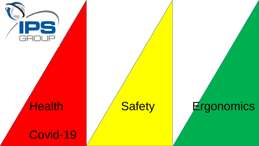

# **Health**

### Covid-19

# Safety Ergonomics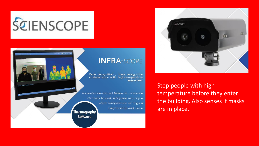





Stop people with high temperature before they enter the building. Also senses if masks are in place.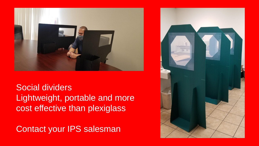

Social dividers Lightweight, portable and more cost effective than plexiglass

Contact your IPS salesman

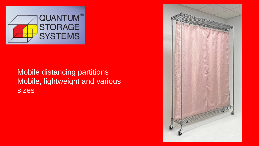

#### Mobile distancing partitions Mobile, lightweight and various sizes

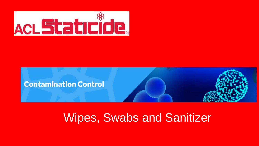



## Wipes, Swabs and Sanitizer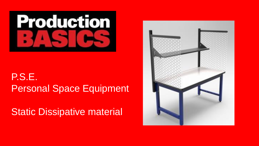

#### P.S.E. Personal Space Equipment

**Static Dissipative material** 

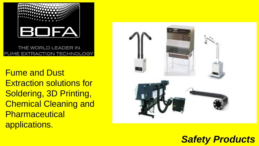

THE WORLD LEADER IN FUME EXTRACTION TECHNOLOGY

Fume and Dust Extraction solutions for Soldering, 3D Printing, Chemical Cleaning and **Pharmaceutical** applications.



#### *Safety Products*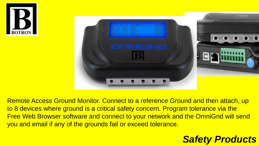



Remote Access Ground Monitor. Connect to a reference Ground and then attach, up to 8 devices where ground is a critical safety concern. Program tolerance via the Free Web Browser software and connect to your network and the OmniGnd will send you and email if any of the grounds fail or exceed tolerance.

#### *Safety Products*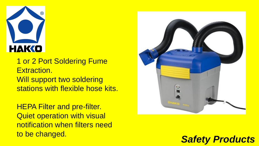

1 or 2 Port Soldering Fume Extraction. Will support two soldering stations with flexible hose kits.

**HEPA Filter and pre-filter.** Quiet operation with visual notification when filters need to be changed.



#### *Safety Products*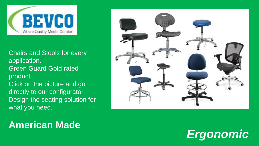

Chairs and Stools for every application. Green Guard Gold rated product. Click on the picture and go directly to our configurator. Design the seating solution for what you need.



#### **American Made**

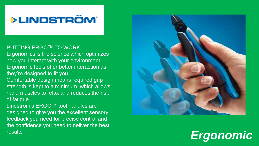#### **>LINDSTRÖM®**

#### PUTTING ERGO ™ TO WORK

Ergonomics is the science which optimizes how you interact with your environment. Ergonomic tools offer better interaction as they're designed to fit you.

Comfortable design means required grip strength is kept to a minimum, which allows hand muscles to relax and reduces the risk of fatigue.

Lindström's ERGO ™ tool handles are designed to give you the excellent sensory feedback you need for precise control and the confidence you need to deliver the best **results** 



# *Ergonomic*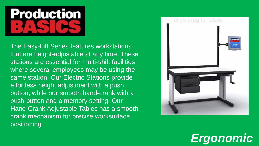

The Easy-Lift Series features workstations that are height-adjustable at any time. These stations are essential for multi-shift facilities where several employees may be using the same station. Our Electric Stations provide effortless height adjustment with a push button, while our smooth hand-crank with a push button and a memory setting. Our Hand-Crank Adjustable Tables has a smooth crank mechanism for precise worksurface positioning.